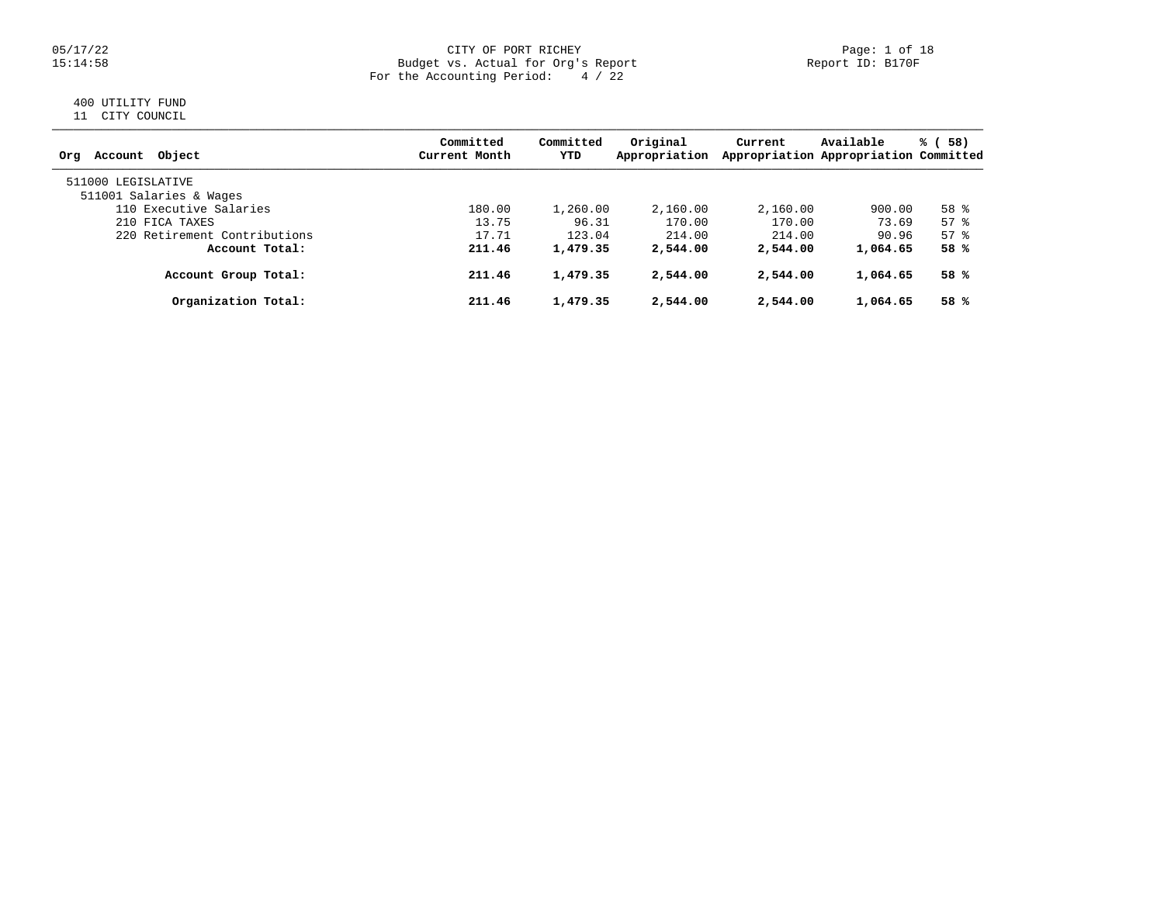### 05/17/22 CITY OF PORT RICHEY Page: 1 of 18 15:14:58 Budget vs. Actual for Org's Report Report ID: B170F For the Accounting Period: 4 / 22

# 400 UTILITY FUND

11 CITY COUNCIL

| Account Object<br>Orq                         | Committed<br>Current Month | Committed<br>YTD | Original<br>Appropriation | Current  | Available<br>Appropriation Appropriation Committed | % (58)   |
|-----------------------------------------------|----------------------------|------------------|---------------------------|----------|----------------------------------------------------|----------|
| 511000 LEGISLATIVE<br>511001 Salaries & Wages |                            |                  |                           |          |                                                    |          |
| 110 Executive Salaries                        | 180.00                     | 1,260.00         | 2,160.00                  | 2,160.00 | 900.00                                             | 58 %     |
| 210 FICA TAXES                                | 13.75                      | 96.31            | 170.00                    | 170.00   | 73.69                                              | 57%      |
| 220 Retirement Contributions                  | 17.71                      | 123.04           | 214.00                    | 214.00   | 90.96                                              | $57$ $%$ |
| Account Total:                                | 211.46                     | 1,479.35         | 2,544.00                  | 2,544.00 | 1,064.65                                           | 58%      |
| Account Group Total:                          | 211.46                     | 1,479.35         | 2,544.00                  | 2,544.00 | 1,064.65                                           | 58%      |
| Organization Total:                           | 211.46                     | 1,479.35         | 2,544.00                  | 2,544.00 | 1,064.65                                           | 58%      |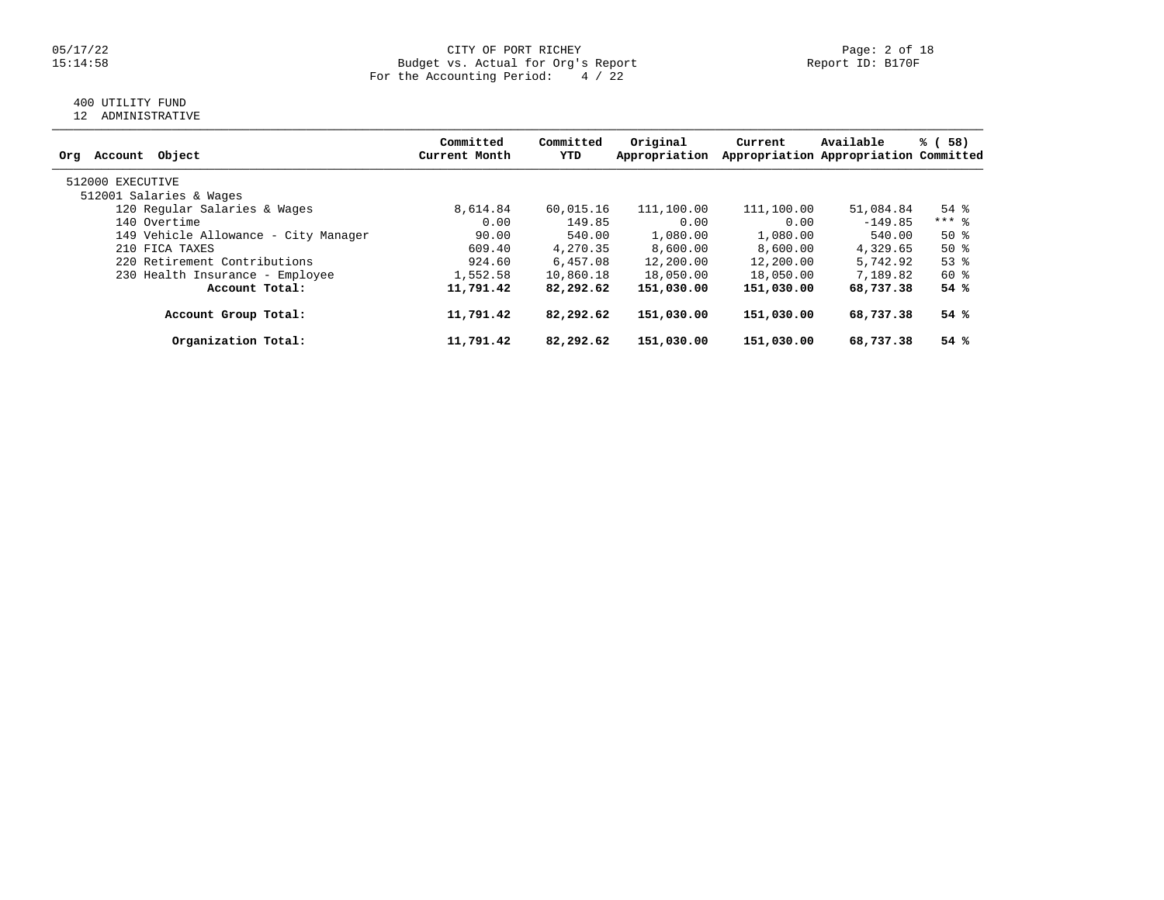### 05/17/22 CITY OF PORT RICHEY Page: 2 of 18 15:14:58 Budget vs. Actual for Org's Report Report ID: B170F For the Accounting Period: 4 / 22

# 400 UTILITY FUND

12 ADMINISTRATIVE

|                                      | Committed     | Committed | Original      | Current    | Available                             | % (58)             |
|--------------------------------------|---------------|-----------|---------------|------------|---------------------------------------|--------------------|
| Object<br>Orq<br>Account             | Current Month | YTD       | Appropriation |            | Appropriation Appropriation Committed |                    |
| 512000 EXECUTIVE                     |               |           |               |            |                                       |                    |
| 512001 Salaries & Wages              |               |           |               |            |                                       |                    |
| 120 Regular Salaries & Wages         | 8,614.84      | 60,015.16 | 111,100.00    | 111,100.00 | 51,084.84                             | $54$ $\frac{6}{3}$ |
| 140 Overtime                         | 0.00          | 149.85    | 0.00          | 0.00       | $-149.85$                             | $***$ 8            |
| 149 Vehicle Allowance - City Manager | 90.00         | 540.00    | 1,080.00      | 1,080.00   | 540.00                                | $50*$              |
| 210 FICA TAXES                       | 609.40        | 4,270.35  | 8,600.00      | 8,600.00   | 4,329.65                              | $50*$              |
| 220 Retirement Contributions         | 924.60        | 6,457.08  | 12,200.00     | 12,200.00  | 5,742.92                              | $53$ $%$           |
| 230 Health Insurance - Employee      | 1,552.58      | 10,860.18 | 18,050.00     | 18,050.00  | 7,189.82                              | 60 %               |
| Account Total:                       | 11,791.42     | 82,292.62 | 151,030.00    | 151,030.00 | 68,737.38                             | 54%                |
| Account Group Total:                 | 11,791.42     | 82,292.62 | 151,030.00    | 151,030.00 | 68,737.38                             | 54%                |
| Organization Total:                  | 11,791.42     | 82,292.62 | 151,030.00    | 151,030.00 | 68,737.38                             | 54%                |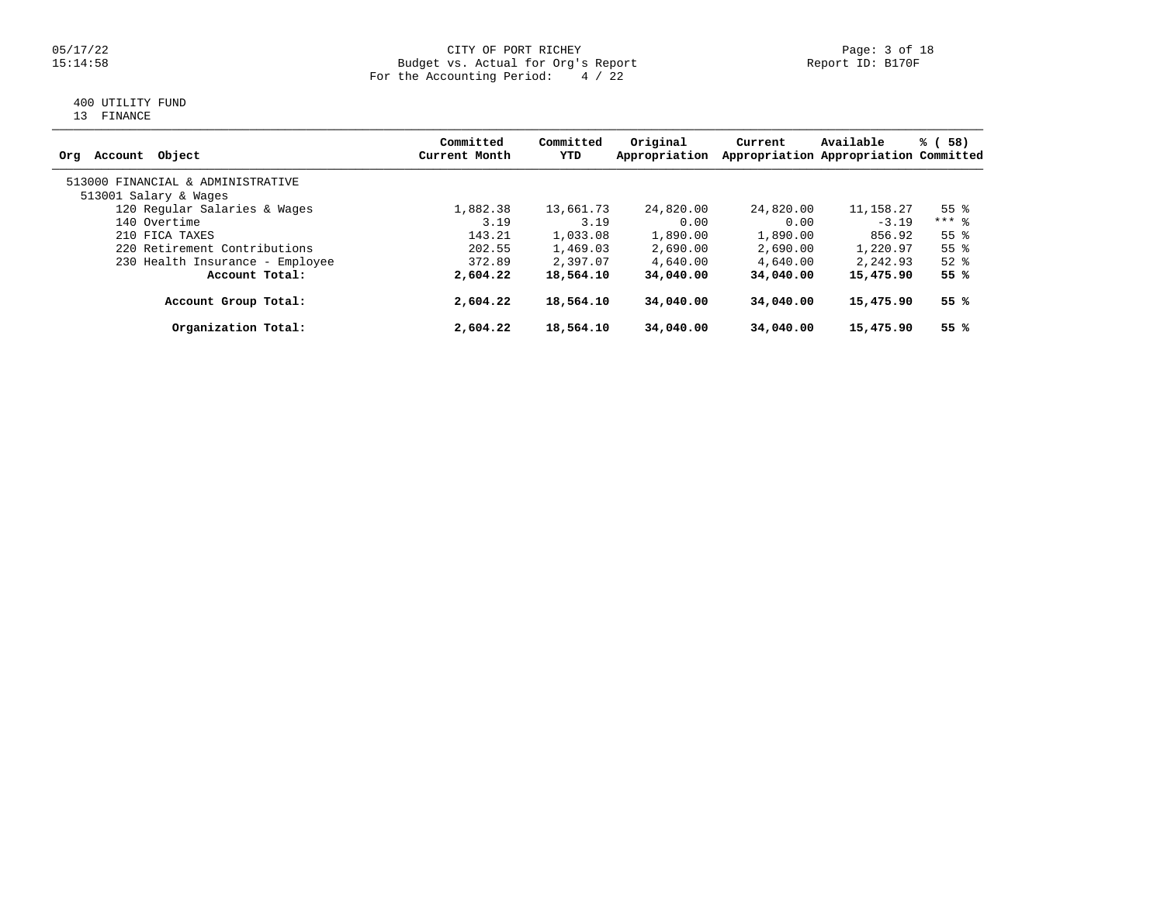### 05/17/22 CITY OF PORT RICHEY Page: 3 of 18 15:14:58 Budget vs. Actual for Org's Report Report ID: B170F For the Accounting Period: 4 / 22

# 400 UTILITY FUND

13 FINANCE

| Object<br>Orq<br>Account          | Committed<br>Current Month | Committed<br>YTD | Original<br>Appropriation | Current   | Available<br>Appropriation Appropriation Committed | % (58)             |
|-----------------------------------|----------------------------|------------------|---------------------------|-----------|----------------------------------------------------|--------------------|
| 513000 FINANCIAL & ADMINISTRATIVE |                            |                  |                           |           |                                                    |                    |
| 513001 Salary & Wages             |                            |                  |                           |           |                                                    |                    |
| 120 Regular Salaries & Wages      | 1,882.38                   | 13,661.73        | 24,820.00                 | 24,820.00 | 11, 158. 27                                        | $55$ $\frac{6}{3}$ |
| 140 Overtime                      | 3.19                       | 3.19             | 0.00                      | 0.00      | $-3.19$                                            | $***$ 8            |
| 210 FICA TAXES                    | 143.21                     | 1,033.08         | 1,890.00                  | 1,890.00  | 856.92                                             | $55$ $\frac{6}{3}$ |
| 220 Retirement Contributions      | 202.55                     | 1,469.03         | 2,690.00                  | 2,690.00  | 1,220.97                                           | $55$ $\frac{6}{3}$ |
| 230 Health Insurance - Employee   | 372.89                     | 2,397.07         | 4,640.00                  | 4,640.00  | 2,242.93                                           | $52$ $%$           |
| Account Total:                    | 2,604.22                   | 18,564.10        | 34,040.00                 | 34,040,00 | 15,475.90                                          | 55 %               |
| Account Group Total:              | 2,604.22                   | 18,564.10        | 34,040.00                 | 34,040,00 | 15,475.90                                          | 55 %               |
| Organization Total:               | 2,604.22                   | 18,564.10        | 34,040.00                 | 34,040.00 | 15,475.90                                          | 55 %               |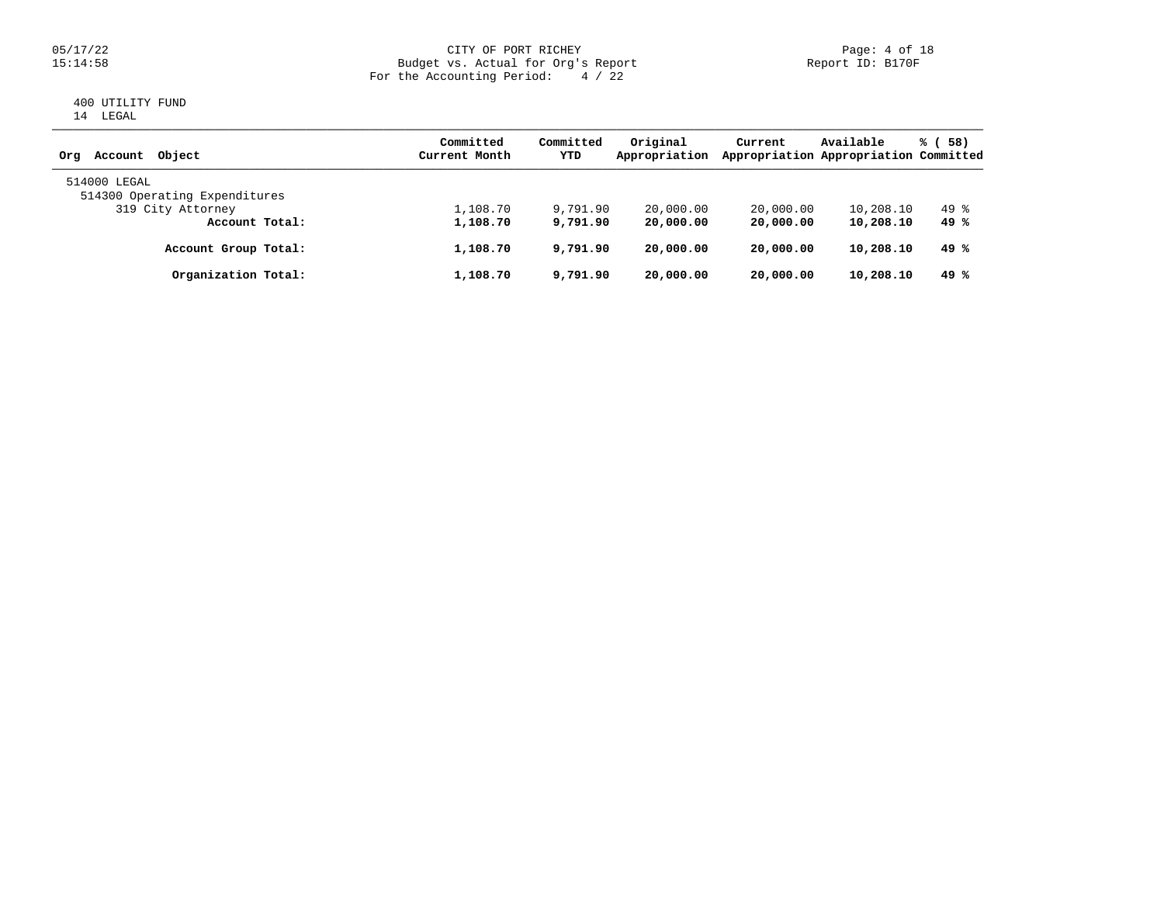### 05/17/22 CITY OF PORT RICHEY Page: 4 of 18 15:14:58 Budget vs. Actual for Org's Report Report ID: B170F For the Accounting Period: 4 / 22

# 400 UTILITY FUND 14 LEGAL

| Object<br>Account<br>Ora                      | Committed<br>Current Month | Committed<br>YTD | Original<br>Appropriation | Current   | Available<br>Appropriation Appropriation Committed | % (58) |
|-----------------------------------------------|----------------------------|------------------|---------------------------|-----------|----------------------------------------------------|--------|
| 514000 LEGAL<br>514300 Operating Expenditures |                            |                  |                           |           |                                                    |        |
| 319 City Attorney                             | 1,108.70                   | 9,791.90         | 20,000.00                 | 20,000.00 | 10,208.10                                          | 49 %   |
| Account Total:                                | 1,108.70                   | 9,791.90         | 20,000.00                 | 20,000.00 | 10,208.10                                          | 49 %   |
| Account Group Total:                          | 1,108.70                   | 9,791.90         | 20,000.00                 | 20,000.00 | 10,208.10                                          | 49 %   |
| Organization Total:                           | 1,108.70                   | 9,791.90         | 20,000.00                 | 20,000.00 | 10,208.10                                          | 49 %   |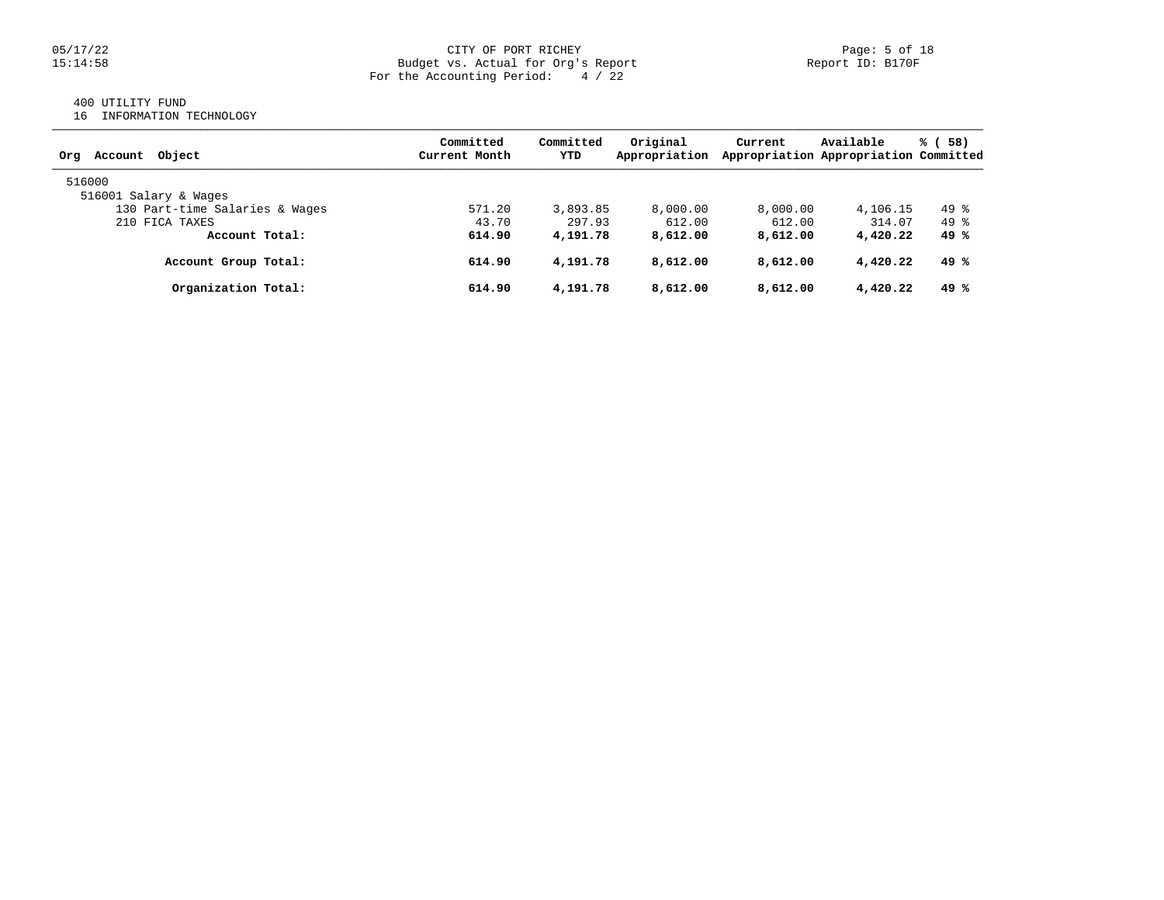### 05/17/22 CITY OF PORT RICHEY Page: 5 of 18 15:14:58 Budget vs. Actual for Org's Report Report ID: B170F For the Accounting Period: 4 / 22

# 400 UTILITY FUND

16 INFORMATION TECHNOLOGY

| Account Object<br>Orq          | Committed<br>Current Month | Committed<br>YTD | Original<br>Appropriation | Current  | Available<br>Appropriation Appropriation Committed | % (58) |
|--------------------------------|----------------------------|------------------|---------------------------|----------|----------------------------------------------------|--------|
| 516000                         |                            |                  |                           |          |                                                    |        |
| 516001 Salary & Wages          |                            |                  |                           |          |                                                    |        |
| 130 Part-time Salaries & Wages | 571.20                     | 3,893.85         | 8,000.00                  | 8,000.00 | 4,106.15                                           | $49*$  |
| 210 FICA TAXES                 | 43.70                      | 297.93           | 612.00                    | 612.00   | 314.07                                             | $49*$  |
| Account Total:                 | 614.90                     | 4,191.78         | 8,612.00                  | 8,612.00 | 4,420.22                                           | 49%    |
| Account Group Total:           | 614.90                     | 4,191.78         | 8,612.00                  | 8,612.00 | 4,420.22                                           | 49 %   |
| Organization Total:            | 614.90                     | 4,191.78         | 8,612.00                  | 8,612.00 | 4,420.22                                           | 49%    |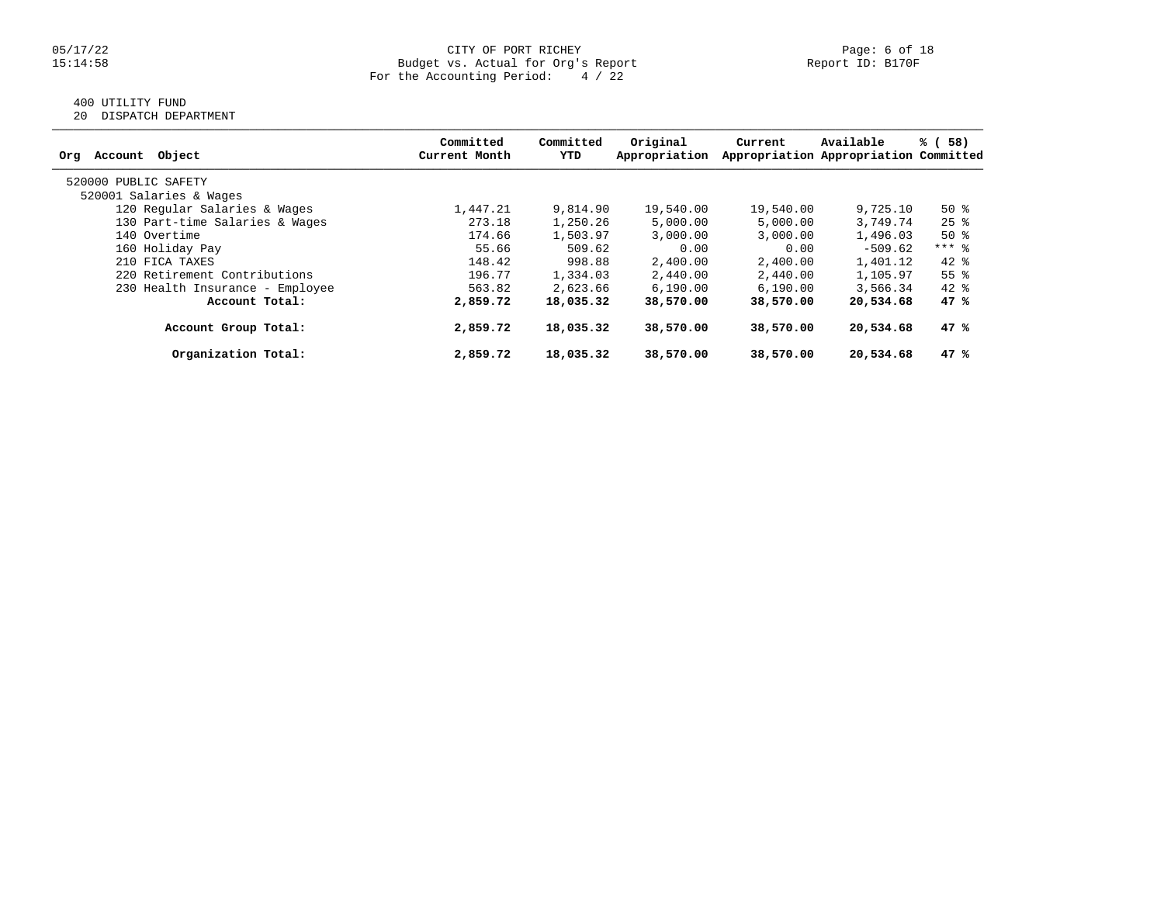### 05/17/22 CITY OF PORT RICHEY Page: 6 of 18 15:14:58 Budget vs. Actual for Org's Report Report ID: B170F For the Accounting Period: 4 / 22

# 400 UTILITY FUND

20 DISPATCH DEPARTMENT

| Object<br>Account<br>Org        | Committed<br>Current Month | Committed<br>YTD | Original<br>Appropriation | Current   | Available<br>Appropriation Appropriation Committed | % (58)             |
|---------------------------------|----------------------------|------------------|---------------------------|-----------|----------------------------------------------------|--------------------|
| 520000 PUBLIC SAFETY            |                            |                  |                           |           |                                                    |                    |
| 520001 Salaries & Wages         |                            |                  |                           |           |                                                    |                    |
| 120 Regular Salaries & Wages    | 1,447.21                   | 9,814.90         | 19,540.00                 | 19,540.00 | 9,725.10                                           | $50*$              |
| 130 Part-time Salaries & Wages  | 273.18                     | 1,250.26         | 5,000.00                  | 5,000.00  | 3,749.74                                           | $25$ $\frac{6}{3}$ |
| 140 Overtime                    | 174.66                     | 1,503.97         | 3,000.00                  | 3,000.00  | 1,496.03                                           | $50*$              |
| 160 Holiday Pay                 | 55.66                      | 509.62           | 0.00                      | 0.00      | $-509.62$                                          | $***$ 8            |
| 210 FICA TAXES                  | 148.42                     | 998.88           | 2,400.00                  | 2,400.00  | 1,401.12                                           | $42*$              |
| 220 Retirement Contributions    | 196.77                     | 1,334.03         | 2,440.00                  | 2,440.00  | 1,105.97                                           | 55 <sup>8</sup>    |
| 230 Health Insurance - Employee | 563.82                     | 2,623.66         | 6, 190.00                 | 6, 190.00 | 3,566.34                                           | $42*$              |
| Account Total:                  | 2,859.72                   | 18,035.32        | 38,570.00                 | 38,570.00 | 20,534.68                                          | 47%                |
| Account Group Total:            | 2,859.72                   | 18,035.32        | 38,570.00                 | 38,570.00 | 20,534.68                                          | 47%                |
| Organization Total:             | 2,859.72                   | 18,035.32        | 38,570.00                 | 38,570.00 | 20,534.68                                          | 47%                |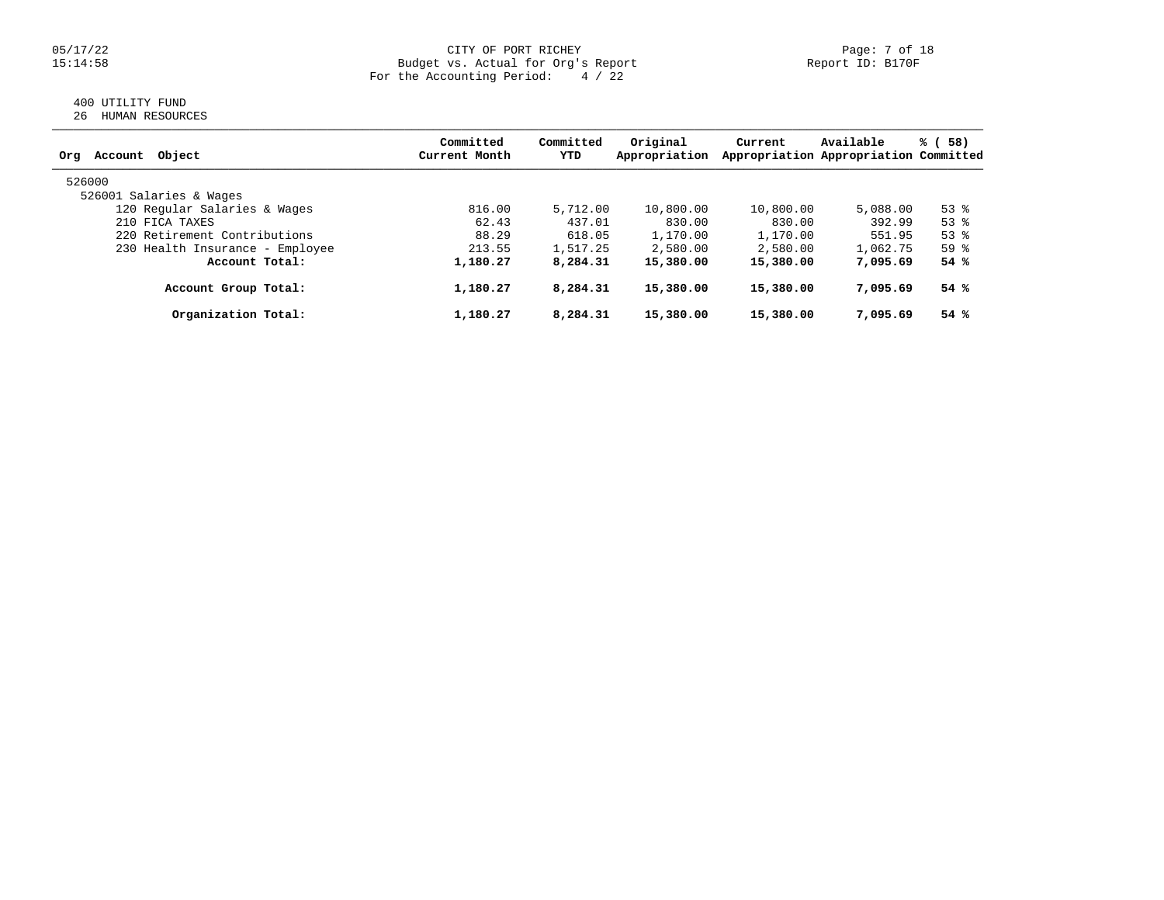### 05/17/22 CITY OF PORT RICHEY Page: 7 of 18 15:14:58 Budget vs. Actual for Org's Report Report ID: B170F For the Accounting Period: 4 / 22

# 400 UTILITY FUND 26 HUMAN RESOURCES

| Obiect<br>Account<br>Org        | Committed<br>Current Month | Committed<br>YTD | Original<br>Appropriation | Current   | Available<br>Appropriation Appropriation Committed | % (<br>58) |
|---------------------------------|----------------------------|------------------|---------------------------|-----------|----------------------------------------------------|------------|
| 526000                          |                            |                  |                           |           |                                                    |            |
| 526001 Salaries & Wages         |                            |                  |                           |           |                                                    |            |
| 120 Regular Salaries & Wages    | 816.00                     | 5,712.00         | 10,800.00                 | 10,800.00 | 5,088.00                                           | $53$ $%$   |
| 210 FICA TAXES                  | 62.43                      | 437.01           | 830.00                    | 830.00    | 392.99                                             | 53%        |
| 220 Retirement Contributions    | 88.29                      | 618.05           | 1,170.00                  | 1,170.00  | 551.95                                             | $53$ $%$   |
| 230 Health Insurance - Employee | 213.55                     | 1,517.25         | 2,580.00                  | 2,580.00  | 1,062.75                                           | 59%        |
| Account Total:                  | 1,180.27                   | 8,284.31         | 15,380.00                 | 15,380.00 | 7,095.69                                           | 54%        |
| Account Group Total:            | 1,180.27                   | 8,284.31         | 15,380.00                 | 15,380.00 | 7,095.69                                           | 54%        |
| Organization Total:             | 1,180.27                   | 8,284.31         | 15,380.00                 | 15,380.00 | 7,095.69                                           | 54%        |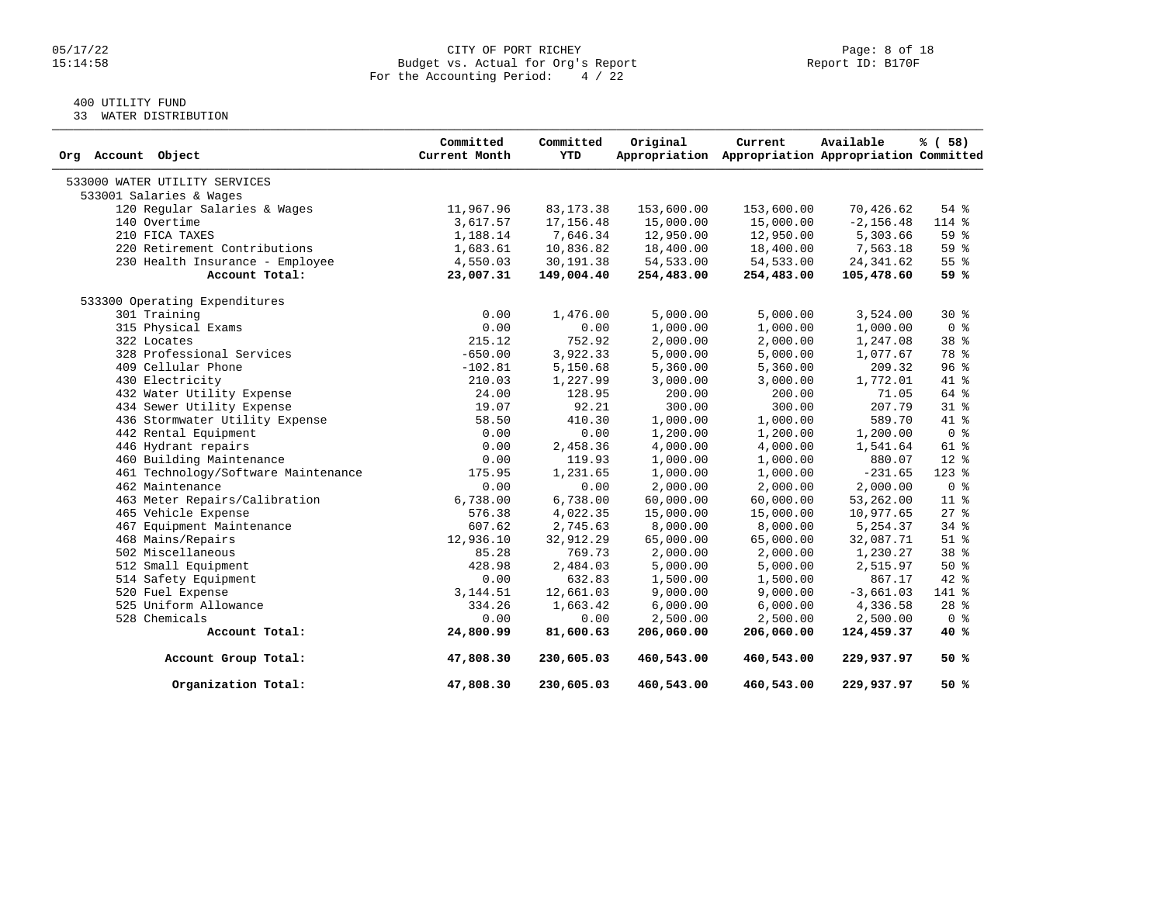# 05/17/22 CITY OF PORT RICHEY PAGE: 8 Of 18<br>15114:58 Budget vs. Actual for Org's Report Page: 15:14:58 Budget vs. Actual for Org's Report For the Accounting Period: 4 / 22

# 400 UTILITY FUND

33 WATER DISTRIBUTION

| Org Account Object                  | Committed<br>Current Month | Committed<br>YTD | Original   | Current<br>Appropriation Appropriation Appropriation Committed | Available    | % ( 58)            |
|-------------------------------------|----------------------------|------------------|------------|----------------------------------------------------------------|--------------|--------------------|
| 533000 WATER UTILITY SERVICES       |                            |                  |            |                                                                |              |                    |
| 533001 Salaries & Wages             |                            |                  |            |                                                                |              |                    |
| 120 Regular Salaries & Wages        | 11,967.96                  | 83, 173. 38      | 153,600.00 | 153,600.00                                                     | 70,426.62    | 54 %               |
| 140 Overtime                        | 3,617.57                   | 17,156.48        | 15,000.00  | 15,000.00                                                      | $-2, 156.48$ | 114 %              |
| 210 FICA TAXES                      | 1,188.14                   | 7,646.34         | 12,950.00  | 12,950.00                                                      | 5,303.66     | 59%                |
| 220 Retirement Contributions        | 1,683.61                   | 10,836.82        | 18,400.00  | 18,400.00                                                      | 7,563.18     | 59%                |
| 230 Health Insurance - Employee     | 4,550.03                   | 30,191.38        | 54,533.00  | 54,533.00                                                      | 24, 341.62   | 55 %               |
| Account Total:                      | 23,007.31                  | 149,004.40       | 254,483.00 | 254,483.00                                                     | 105,478.60   | 59 %               |
| 533300 Operating Expenditures       |                            |                  |            |                                                                |              |                    |
| 301 Training                        | 0.00                       | 1,476.00         | 5,000.00   | 5,000.00                                                       | 3,524.00     | $30*$              |
| 315 Physical Exams                  | 0.00                       | 0.00             | 1,000.00   | 1,000.00                                                       | 1,000.00     | 0 <sup>8</sup>     |
| 322 Locates                         | 215.12                     | 752.92           | 2,000.00   | 2,000.00                                                       | 1,247.08     | 38 <sup>8</sup>    |
| 328 Professional Services           | $-650.00$                  | 3,922.33         | 5,000.00   | 5,000.00                                                       | 1,077.67     | 78 %               |
| 409 Cellular Phone                  | $-102.81$                  | 5,150.68         | 5,360.00   | 5,360.00                                                       | 209.32       | 96%                |
| 430 Electricity                     | 210.03                     | 1,227.99         | 3,000.00   | 3,000.00                                                       | 1,772.01     | 41 %               |
| 432 Water Utility Expense           | 24.00                      | 128.95           | 200.00     | 200.00                                                         | 71.05        | 64 %               |
| 434 Sewer Utility Expense           | 19.07                      | 92.21            | 300.00     | 300.00                                                         | 207.79       | 31.8               |
| 436 Stormwater Utility Expense      | 58.50                      | 410.30           | 1,000.00   | 1,000.00                                                       | 589.70       | 41 %               |
| 442 Rental Equipment                | 0.00                       | 0.00             | 1,200.00   | 1,200.00                                                       | 1,200.00     | 0 <sup>8</sup>     |
| 446 Hydrant repairs                 | 0.00                       | 2,458.36         | 4,000.00   | 4,000.00                                                       | 1,541.64     | 61 %               |
| 460 Building Maintenance            | 0.00                       | 119.93           | 1,000.00   | 1,000.00                                                       | 880.07       | $12*$              |
| 461 Technology/Software Maintenance | 175.95                     | 1,231.65         | 1,000.00   | 1,000.00                                                       | $-231.65$    | $123$ %            |
| 462 Maintenance                     | 0.00                       | 0.00             | 2,000.00   | 2,000.00                                                       | 2,000.00     | 0 <sup>8</sup>     |
| 463 Meter Repairs/Calibration       | 6,738.00                   | 6,738.00         | 60,000.00  | 60,000.00                                                      | 53,262.00    | $11*$              |
| 465 Vehicle Expense                 | 576.38                     | 4,022.35         | 15,000.00  | 15,000.00                                                      | 10,977.65    | $27$ $\frac{6}{5}$ |
| 467 Equipment Maintenance           | 607.62                     | 2,745.63         | 8,000.00   | 8,000.00                                                       | 5,254.37     | 34%                |
| 468 Mains/Repairs                   | 12,936.10                  | 32,912.29        | 65,000.00  | 65,000.00                                                      | 32,087.71    | $51$ $%$           |
| 502 Miscellaneous                   | 85.28                      | 769.73           | 2,000.00   | 2,000.00                                                       | 1,230.27     | 38 %               |
| 512 Small Equipment                 | 428.98                     | 2,484.03         | 5,000.00   | 5,000.00                                                       | 2,515.97     | $50*$              |
| 514 Safety Equipment                | 0.00                       | 632.83           | 1,500.00   | 1,500.00                                                       | 867.17       | 42 %               |
| 520 Fuel Expense                    | 3, 144.51                  | 12,661.03        | 9,000.00   | 9,000.00                                                       | $-3,661.03$  | 141 %              |
| 525 Uniform Allowance               | 334.26                     | 1,663.42         | 6,000.00   | 6,000.00                                                       | 4,336.58     | $28$ $%$           |
| 528 Chemicals                       | 0.00                       | 0.00             | 2,500.00   | 2,500.00                                                       | 2,500.00     | 0 <sup>8</sup>     |
| Account Total:                      | 24,800.99                  | 81,600.63        | 206,060.00 | 206,060.00                                                     | 124,459.37   | 40 %               |
| Account Group Total:                | 47,808.30                  | 230,605.03       | 460,543.00 | 460,543.00                                                     | 229,937.97   | 50 %               |
| Organization Total:                 | 47,808.30                  | 230,605.03       | 460,543.00 | 460,543.00                                                     | 229,937.97   | 50 %               |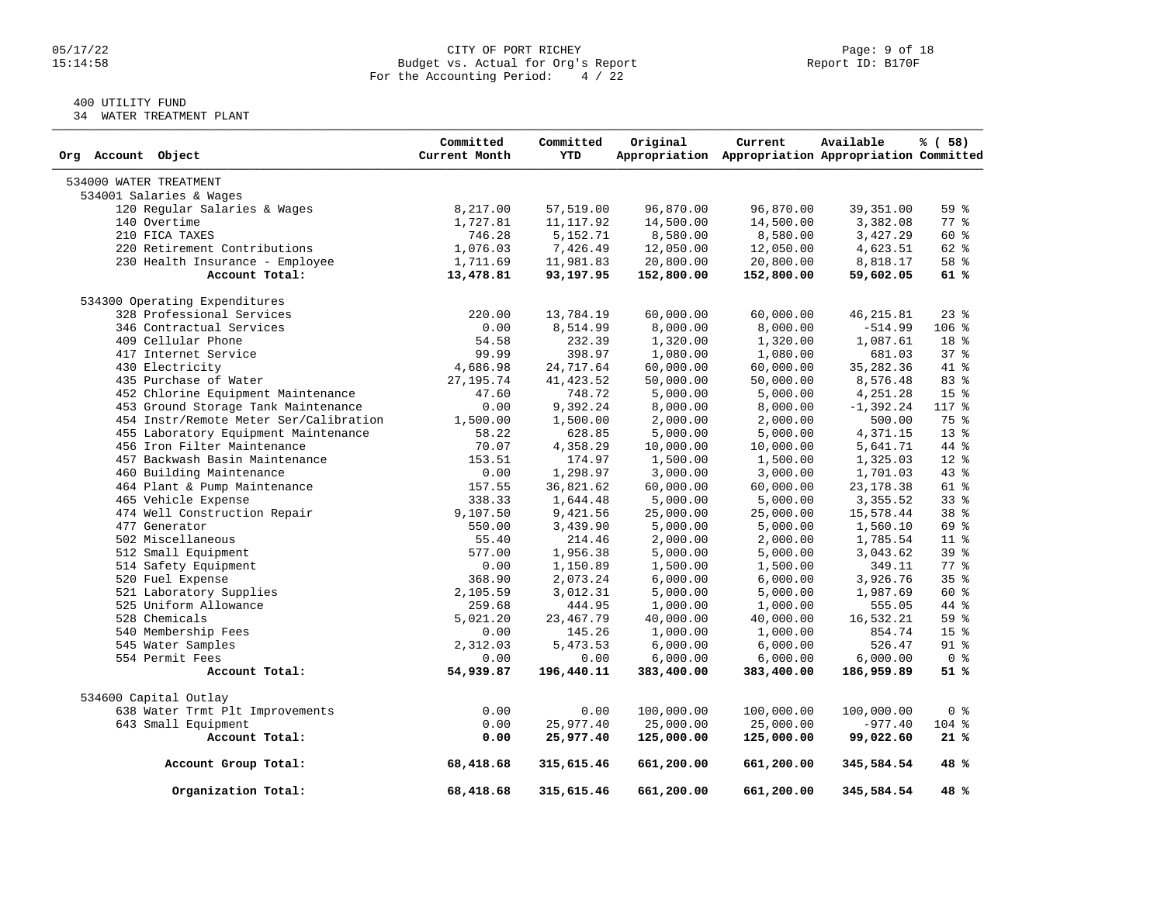# 05/17/22 CITY OF PORT RICHEY PORT ROUGHER PAGE: 9 of 18<br>15:14:58 Budget vs. Actual for Org's Report Page: 9 Deport ID: B170F Budget vs. Actual for Org's Report For the Accounting Period: 4 / 22

# 400 UTILITY FUND

34 WATER TREATMENT PLANT

| Org Account Object                     | Committed<br>Current Month | Committed<br><b>YTD</b> | Original   | Current<br>Appropriation Appropriation Appropriation Committed | Available    | % (58)          |
|----------------------------------------|----------------------------|-------------------------|------------|----------------------------------------------------------------|--------------|-----------------|
| 534000 WATER TREATMENT                 |                            |                         |            |                                                                |              |                 |
| 534001 Salaries & Wages                |                            |                         |            |                                                                |              |                 |
| 120 Regular Salaries & Wages           | 8,217.00                   | 57,519.00               | 96,870.00  | 96,870.00                                                      | 39,351.00    | 59 %            |
| 140 Overtime                           | 1,727.81                   | 11, 117.92              | 14,500.00  | 14,500.00                                                      | 3,382.08     | 77.8            |
| 210 FICA TAXES                         | 746.28                     | 5,152.71                | 8,580.00   | 8,580.00                                                       | 3,427.29     | 60 %            |
| 220 Retirement Contributions           | 1,076.03                   | 7,426.49                | 12,050.00  | 12,050.00                                                      | 4,623.51     | 62 %            |
| 230 Health Insurance - Employee        | 1,711.69                   | 11,981.83               | 20,800.00  | 20,800.00                                                      | 8,818.17     | 58 %            |
| Account Total:                         | 13,478.81                  | 93,197.95               | 152,800.00 | 152,800.00                                                     | 59,602.05    | 61%             |
| 534300 Operating Expenditures          |                            |                         |            |                                                                |              |                 |
| 328 Professional Services              | 220.00                     | 13,784.19               | 60,000.00  | 60,000.00                                                      | 46, 215.81   | $23$ $%$        |
| 346 Contractual Services               | 0.00                       | 8,514.99                | 8,000.00   | 8,000.00                                                       | $-514.99$    | $106$ %         |
| 409 Cellular Phone                     | 54.58                      | 232.39                  | 1,320.00   | 1,320.00                                                       | 1,087.61     | 18 %            |
| 417 Internet Service                   | 99.99                      | 398.97                  | 1,080.00   | 1,080.00                                                       | 681.03       | $37*$           |
| 430 Electricity                        | 4,686.98                   | 24,717.64               | 60,000.00  | 60,000.00                                                      | 35, 282.36   | 41 %            |
| 435 Purchase of Water                  | 27, 195. 74                | 41, 423.52              | 50,000.00  | 50,000.00                                                      | 8,576.48     | 83 %            |
| 452 Chlorine Equipment Maintenance     | 47.60                      | 748.72                  | 5,000.00   | 5,000.00                                                       | 4,251.28     | 15 <sup>8</sup> |
| 453 Ground Storage Tank Maintenance    | 0.00                       | 9,392.24                | 8,000.00   | 8,000.00                                                       | $-1, 392.24$ | 117 %           |
| 454 Instr/Remote Meter Ser/Calibration | 1,500.00                   | 1,500.00                | 2,000.00   | 2,000.00                                                       | 500.00       | 75 %            |
| 455 Laboratory Equipment Maintenance   | 58.22                      | 628.85                  | 5,000.00   | 5,000.00                                                       | 4,371.15     | $13*$           |
| 456 Iron Filter Maintenance            | 70.07                      | 4,358.29                | 10,000.00  | 10,000.00                                                      | 5,641.71     | 44 %            |
| 457 Backwash Basin Maintenance         | 153.51                     | 174.97                  | 1,500.00   | 1,500.00                                                       | 1,325.03     | $12$ %          |
| 460 Building Maintenance               | 0.00                       | 1,298.97                | 3,000.00   | 3,000.00                                                       | 1,701.03     | $43*$           |
| 464 Plant & Pump Maintenance           | 157.55                     | 36,821.62               | 60,000.00  | 60,000.00                                                      | 23, 178.38   | 61 %            |
| 465 Vehicle Expense                    | 338.33                     | 1,644.48                | 5,000.00   | 5,000.00                                                       | 3,355.52     | 338             |
| 474 Well Construction Repair           | 9,107.50                   | 9,421.56                | 25,000.00  | 25,000.00                                                      | 15,578.44    | 38 %            |
| 477 Generator                          | 550.00                     | 3,439.90                | 5,000.00   | 5,000.00                                                       | 1,560.10     | 69 %            |
| 502 Miscellaneous                      | 55.40                      | 214.46                  | 2,000.00   | 2,000.00                                                       | 1,785.54     | $11*$           |
| 512 Small Equipment                    | 577.00                     | 1,956.38                | 5,000.00   | 5,000.00                                                       | 3,043.62     | $39*$           |
| 514 Safety Equipment                   | 0.00                       | 1,150.89                | 1,500.00   | 1,500.00                                                       | 349.11       | $77$ $%$        |
| 520 Fuel Expense                       | 368.90                     | 2,073.24                | 6,000.00   | 6,000.00                                                       | 3,926.76     | 35 <sup>8</sup> |
| 521 Laboratory Supplies                | 2,105.59                   | 3,012.31                | 5,000.00   | 5,000.00                                                       | 1,987.69     | 60 %            |
| 525 Uniform Allowance                  | 259.68                     | 444.95                  | 1,000.00   | 1,000.00                                                       | 555.05       | 44 %            |
| 528 Chemicals                          | 5,021.20                   | 23, 467.79              | 40,000.00  | 40,000.00                                                      | 16,532.21    | 59 %            |
| 540 Membership Fees                    | 0.00                       | 145.26                  | 1,000.00   | 1,000.00                                                       | 854.74       | 15 <sup>8</sup> |
| 545 Water Samples                      | 2,312.03                   | 5,473.53                | 6,000.00   | 6,000.00                                                       | 526.47       | $91$ %          |
| 554 Permit Fees                        | 0.00                       | 0.00                    | 6,000.00   | 6,000.00                                                       | 6,000.00     | 0 <sup>8</sup>  |
| Account Total:                         | 54,939.87                  | 196,440.11              | 383,400.00 | 383,400.00                                                     | 186,959.89   | 51%             |
| 534600 Capital Outlay                  |                            |                         |            |                                                                |              |                 |
| 638 Water Trmt Plt Improvements        | 0.00                       | 0.00                    | 100,000.00 | 100,000.00                                                     | 100,000.00   | 0 <sup>8</sup>  |
| 643 Small Equipment                    | 0.00                       | 25,977.40               | 25,000.00  | 25,000.00                                                      | $-977.40$    | 104 %           |
| Account Total:                         | 0.00                       | 25,977.40               | 125,000.00 | 125,000.00                                                     | 99,022.60    | 21%             |
| Account Group Total:                   | 68,418.68                  | 315,615.46              | 661,200.00 | 661,200.00                                                     | 345,584.54   | 48%             |
| Organization Total:                    | 68,418.68                  | 315,615.46              | 661,200.00 | 661,200.00                                                     | 345,584.54   | 48 %            |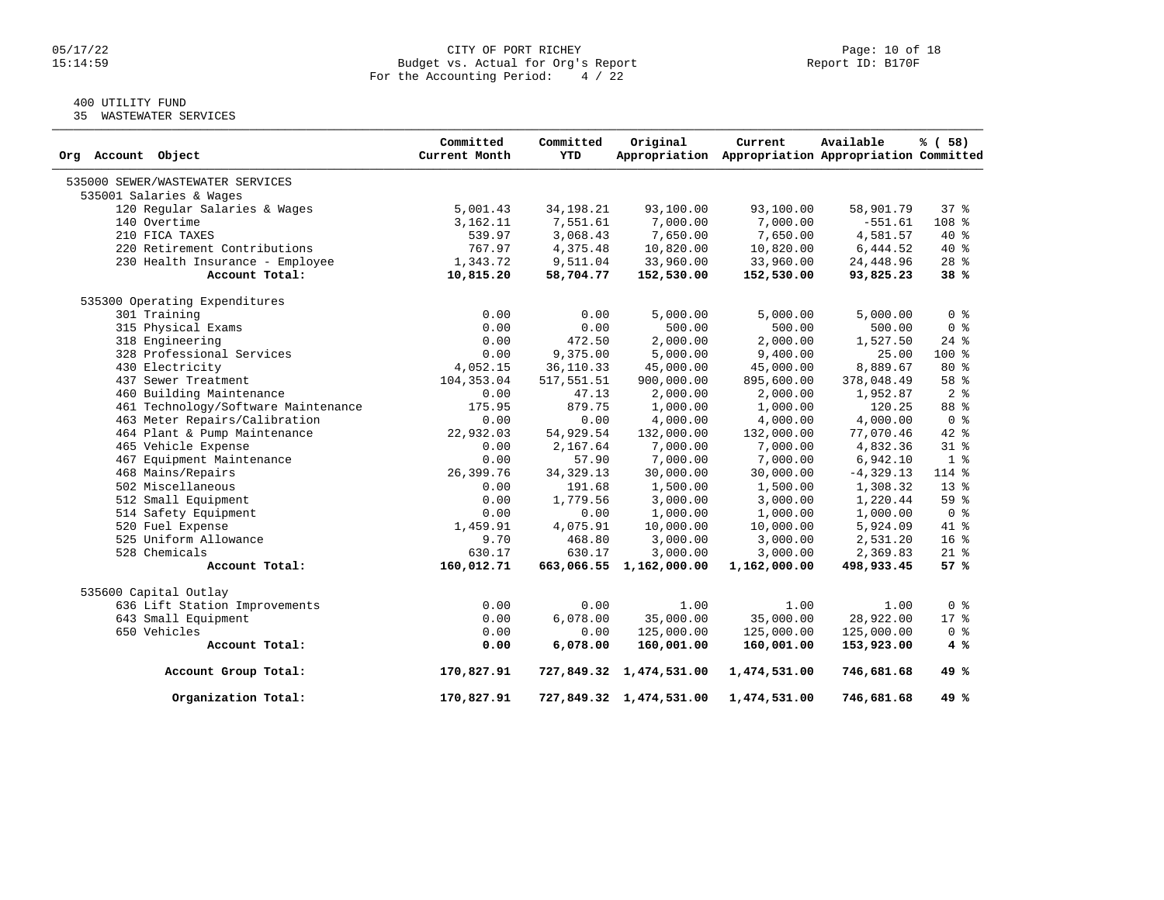#### 05/17/22 CITY OF PORT RICHEY Page: 10 of 18 15:14:59 Budget vs. Actual for Org's Report Report ID: B170F For the Accounting Period: 4 / 22

# 400 UTILITY FUND

35 WASTEWATER SERVICES

| Org Account Object                  | Committed<br>Current Month | Committed<br>YTD | Original                | Current<br>Appropriation Appropriation Appropriation Committed | Available    | % ( 58)         |
|-------------------------------------|----------------------------|------------------|-------------------------|----------------------------------------------------------------|--------------|-----------------|
| 535000 SEWER/WASTEWATER SERVICES    |                            |                  |                         |                                                                |              |                 |
| 535001 Salaries & Wages             |                            |                  |                         |                                                                |              |                 |
| 120 Regular Salaries & Wages        | 5,001.43                   | 34, 198. 21      | 93,100.00               | 93,100.00                                                      | 58,901.79    | 37 <sub>8</sub> |
| 140 Overtime                        | 3,162.11                   | 7,551.61         | 7,000.00                | 7,000.00                                                       | $-551.61$    | 108 %           |
| 210 FICA TAXES                      | 539.97                     | 3,068.43         | 7,650.00                | 7,650.00                                                       | 4,581.57     | 40 %            |
| 220 Retirement Contributions        | 767.97                     | 4,375.48         | 10,820.00               | 10,820.00                                                      | 6,444.52     | $40*$           |
| 230 Health Insurance - Employee     | 1,343.72                   | 9,511.04         | 33,960.00               | 33,960.00                                                      | 24, 448.96   | $28$ $%$        |
| Account Total:                      | 10,815.20                  | 58,704.77        | 152,530.00              | 152,530.00                                                     | 93,825.23    | 38%             |
| 535300 Operating Expenditures       |                            |                  |                         |                                                                |              |                 |
| 301 Training                        | 0.00                       | 0.00             | 5,000.00                | 5,000.00                                                       | 5,000.00     | 0 <sup>8</sup>  |
| 315 Physical Exams                  | 0.00                       | 0.00             | 500.00                  | 500.00                                                         | 500.00       | 0 <sup>8</sup>  |
| 318 Engineering                     | 0.00                       | 472.50           | 2,000.00                | 2,000.00                                                       | 1,527.50     | $24$ $%$        |
| 328 Professional Services           | 0.00                       | 9,375.00         | 5,000.00                | 9,400.00                                                       | 25.00        | $100*$          |
| 430 Electricity                     | 4,052.15                   | 36, 110.33       | 45,000.00               | 45,000.00                                                      | 8,889.67     | 80%             |
| 437 Sewer Treatment                 | 104, 353.04                | 517,551.51       | 900,000.00              | 895,600.00                                                     | 378,048.49   | 58 <sup>8</sup> |
| 460 Building Maintenance            | 0.00                       | 47.13            | 2,000.00                | 2,000.00                                                       | 1,952.87     | 2 <sup>8</sup>  |
| 461 Technology/Software Maintenance | 175.95                     | 879.75           | 1,000.00                | 1,000.00                                                       | 120.25       | 88 %            |
| 463 Meter Repairs/Calibration       | 0.00                       | 0.00             | 4,000.00                | 4,000.00                                                       | 4,000.00     | 0 <sup>8</sup>  |
| 464 Plant & Pump Maintenance        | 22,932.03                  | 54,929.54        | 132,000.00              | 132,000.00                                                     | 77,070.46    | $42*$           |
| 465 Vehicle Expense                 | 0.00                       | 2,167.64         | 7,000.00                | 7,000.00                                                       | 4,832.36     | 31.8            |
| 467 Equipment Maintenance           | 0.00                       | 57.90            | 7,000.00                | 7,000.00                                                       | 6,942.10     | 1 <sup>°</sup>  |
| 468 Mains/Repairs                   | 26,399.76                  | 34, 329. 13      | 30,000.00               | 30,000.00                                                      | $-4, 329.13$ | 114 %           |
| 502 Miscellaneous                   | 0.00                       | 191.68           | 1,500.00                | 1,500.00                                                       | 1,308.32     | $13*$           |
| 512 Small Equipment                 | 0.00                       | 1,779.56         | 3,000.00                | 3,000.00                                                       | 1,220.44     | 59%             |
| 514 Safety Equipment                | 0.00                       | 0.00             | 1,000.00                | 1,000.00                                                       | 1,000.00     | 0 <sup>8</sup>  |
| 520 Fuel Expense                    | 1,459.91                   | 4,075.91         | 10,000.00               | 10,000.00                                                      | 5,924.09     | 41 %            |
| 525 Uniform Allowance               | 9.70                       | 468.80           | 3,000.00                | 3,000.00                                                       | 2,531.20     | 16 %            |
| 528 Chemicals                       | 630.17                     | 630.17           | 3,000.00                | 3,000.00                                                       | 2,369.83     | $21$ %          |
| Account Total:                      | 160,012.71                 |                  | 663,066.55 1,162,000.00 | 1,162,000.00                                                   | 498,933.45   | 57%             |
| 535600 Capital Outlay               |                            |                  |                         |                                                                |              |                 |
| 636 Lift Station Improvements       | 0.00                       | 0.00             | 1.00                    | 1.00                                                           | 1.00         | 0 <sup>8</sup>  |
| 643 Small Equipment                 | 0.00                       | 6,078.00         | 35,000.00               | 35,000.00                                                      | 28,922.00    | $17*$           |
| 650 Vehicles                        | 0.00                       | 0.00             | 125,000.00              | 125,000.00                                                     | 125,000.00   | 0 <sup>8</sup>  |
| Account Total:                      | 0.00                       | 6,078.00         | 160,001.00              | 160,001.00                                                     | 153,923.00   | 4%              |
| Account Group Total:                | 170,827.91                 |                  | 727,849.32 1,474,531.00 | 1,474,531.00                                                   | 746,681.68   | 49 %            |
| Organization Total:                 | 170,827.91                 |                  | 727,849.32 1,474,531.00 | 1,474,531.00                                                   | 746,681.68   | 49 %            |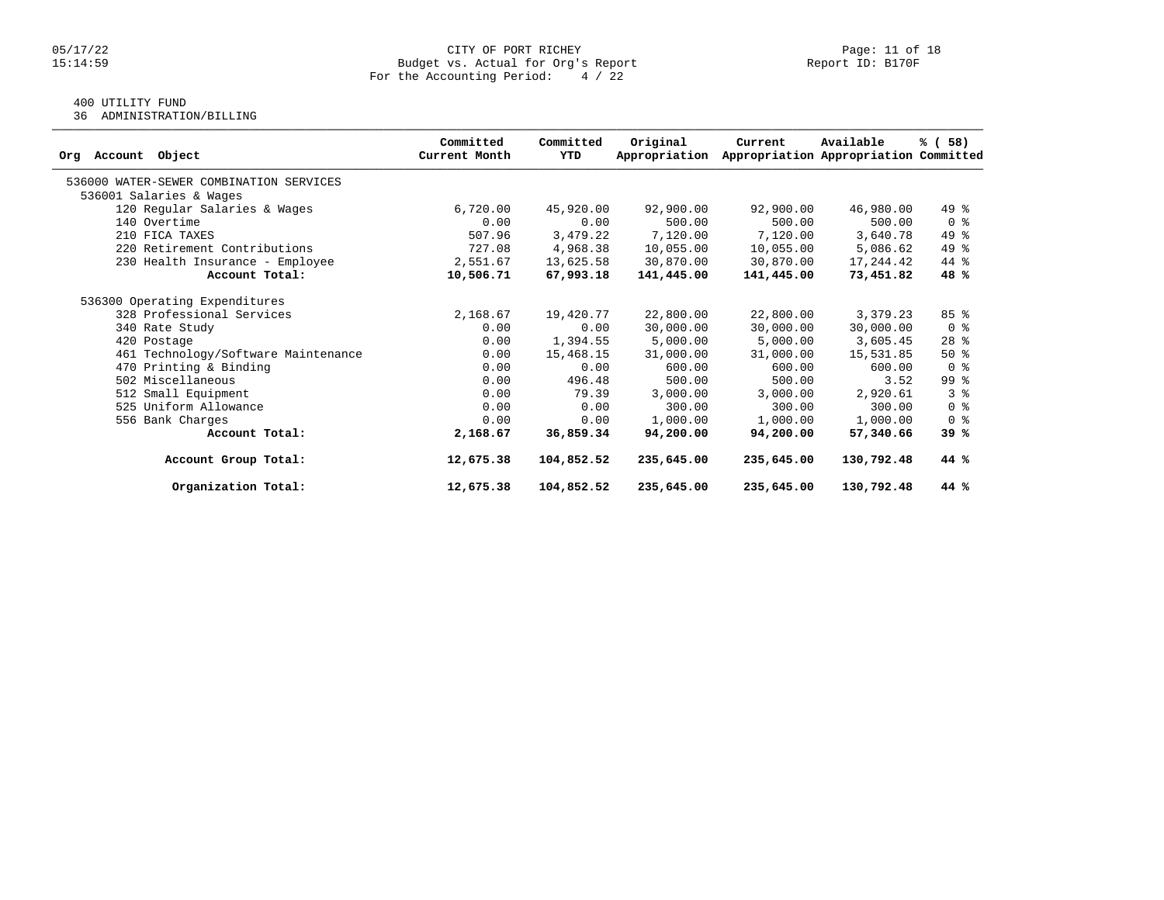# 05/17/22 CITY OF PORT RICHEY PORT REPORT RESERVE PORT RICHEY PORT RICHEY PAGE: 11 of 18<br>15:14:59 Budget vs. Actual for Org's Report Propert Report ID: B170F Budget vs. Actual for Org's Report For the Accounting Period: 4 / 22

# 400 UTILITY FUND

36 ADMINISTRATION/BILLING

| Object<br>Account<br>Org                | Committed<br>Current Month | Committed<br>YTD | Original<br>Appropriation | Current    | Available<br>Appropriation Appropriation Committed | % (58)         |
|-----------------------------------------|----------------------------|------------------|---------------------------|------------|----------------------------------------------------|----------------|
| 536000 WATER-SEWER COMBINATION SERVICES |                            |                  |                           |            |                                                    |                |
| 536001 Salaries & Wages                 |                            |                  |                           |            |                                                    |                |
| 120 Regular Salaries & Wages            | 6,720.00                   | 45,920.00        | 92,900.00                 | 92,900.00  | 46,980.00                                          | 49 %           |
| 140 Overtime                            | 0.00                       | 0.00             | 500.00                    | 500.00     | 500.00                                             | 0 <sup>8</sup> |
| 210 FICA TAXES                          | 507.96                     | 3,479.22         | 7,120.00                  | 7,120.00   | 3,640.78                                           | 49 %           |
| 220 Retirement Contributions            | 727.08                     | 4,968.38         | 10,055.00                 | 10,055.00  | 5,086.62                                           | 49 %           |
| 230 Health Insurance - Employee         | 2,551.67                   | 13,625.58        | 30,870.00                 | 30,870.00  | 17,244.42                                          | 44 %           |
| Account Total:                          | 10,506.71                  | 67,993.18        | 141,445.00                | 141,445.00 | 73,451.82                                          | 48 %           |
| 536300 Operating Expenditures           |                            |                  |                           |            |                                                    |                |
| 328 Professional Services               | 2,168.67                   | 19,420.77        | 22,800.00                 | 22,800.00  | 3,379.23                                           | 85%            |
| 340 Rate Study                          | 0.00                       | 0.00             | 30,000.00                 | 30,000.00  | 30,000.00                                          | 0 <sup>8</sup> |
| 420 Postage                             | 0.00                       | 1,394.55         | 5,000.00                  | 5,000.00   | 3,605.45                                           | $28$ %         |
| 461 Technology/Software Maintenance     | 0.00                       | 15,468.15        | 31,000.00                 | 31,000.00  | 15,531.85                                          | $50*$          |
| 470 Printing & Binding                  | 0.00                       | 0.00             | 600.00                    | 600.00     | 600.00                                             | 0 <sup>8</sup> |
| 502 Miscellaneous                       | 0.00                       | 496.48           | 500.00                    | 500.00     | 3.52                                               | 99 %           |
| 512 Small Equipment                     | 0.00                       | 79.39            | 3,000.00                  | 3,000.00   | 2,920.61                                           | 3 <sup>8</sup> |
| 525 Uniform Allowance                   | 0.00                       | 0.00             | 300.00                    | 300.00     | 300.00                                             | 0 <sup>8</sup> |
| 556 Bank Charges                        | 0.00                       | 0.00             | 1,000.00                  | 1,000.00   | 1,000.00                                           | 0 <sup>8</sup> |
| Account Total:                          | 2,168.67                   | 36,859.34        | 94,200.00                 | 94,200,00  | 57,340.66                                          | 39%            |
| Account Group Total:                    | 12,675.38                  | 104,852.52       | 235,645.00                | 235,645.00 | 130,792.48                                         | 44 %           |
| Organization Total:                     | 12,675.38                  | 104,852.52       | 235,645.00                | 235,645.00 | 130,792.48                                         | 44 %           |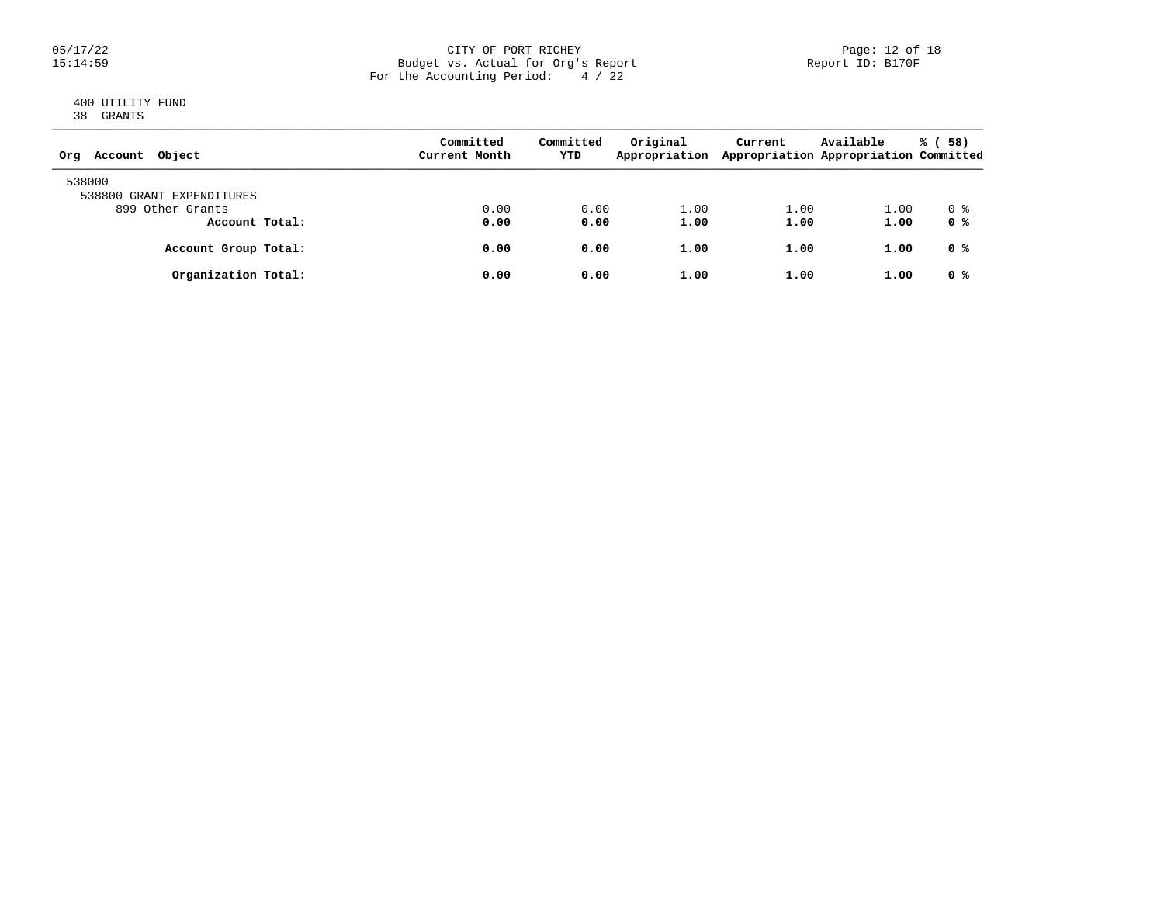### 05/17/22 CITY OF PORT RICHEY Page: 12 of 18 15:14:59 Budget vs. Actual for Org's Report Report ID: B170F For the Accounting Period: 4 / 22

# 400 UTILITY FUND 38 GRANTS

| Object<br>Account<br>Org            | Committed<br>Current Month | Committed<br>YTD | Original<br>Appropriation | Current | Available<br>Appropriation Appropriation Committed | 58)<br>% ( |
|-------------------------------------|----------------------------|------------------|---------------------------|---------|----------------------------------------------------|------------|
| 538000<br>538800 GRANT EXPENDITURES |                            |                  |                           |         |                                                    |            |
| 899 Other Grants                    | 0.00                       | 0.00             | 1.00                      | 1.00    | 1.00                                               | 0 %        |
| Account Total:                      | 0.00                       | 0.00             | 1.00                      | 1.00    | 1.00                                               | 0 %        |
| Account Group Total:                | 0.00                       | 0.00             | 1.00                      | 1.00    | 1.00                                               | 0 %        |
| Organization Total:                 | 0.00                       | 0.00             | 1.00                      | 1.00    | 1.00                                               | 0 %        |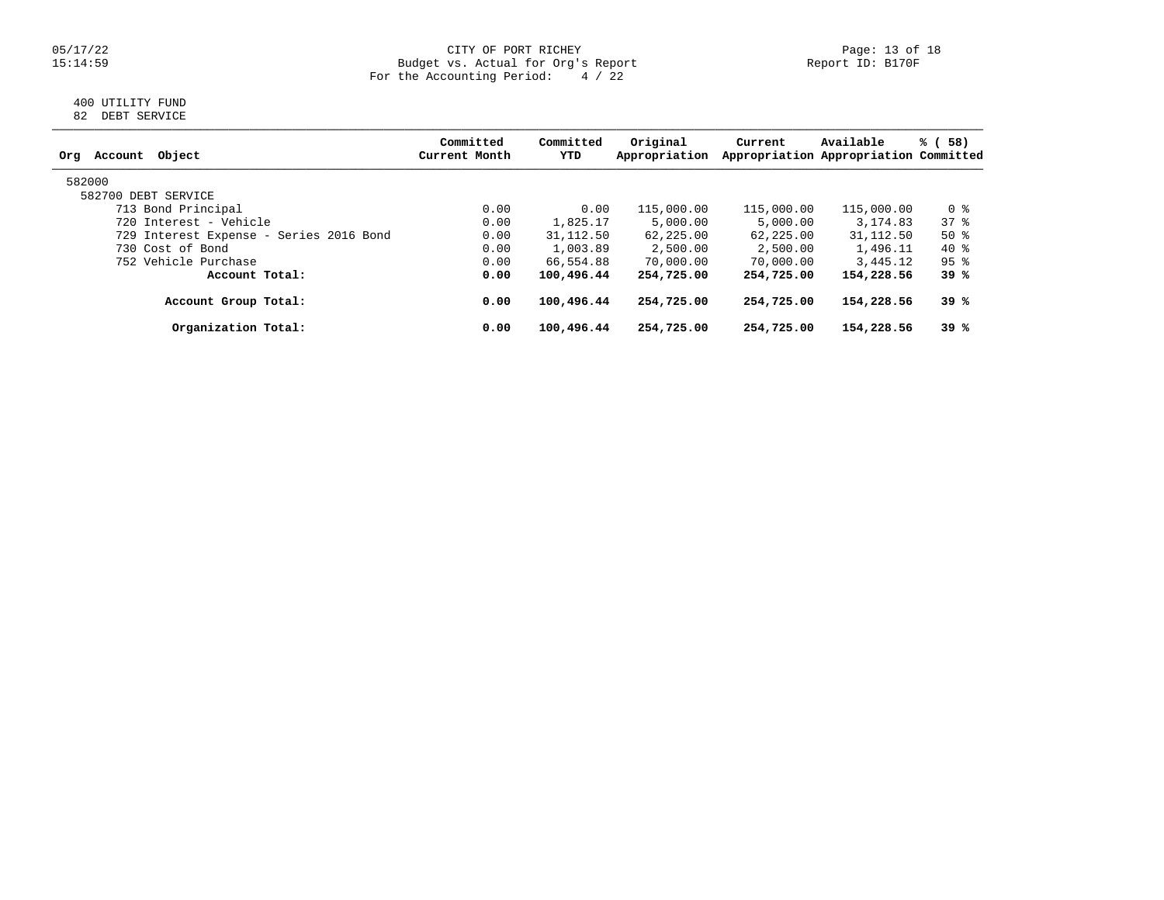### 05/17/22 CITY OF PORT RICHEY Page: 13 of 18 15:14:59 Budget vs. Actual for Org's Report Report ID: B170F For the Accounting Period: 4 / 22

# 400 UTILITY FUND 82 DEBT SERVICE

| Committed<br>Current Month | Committed<br>YTD | Original<br>Appropriation | Current                                                                               | Available  | 58)<br>% (                                                                                                             |
|----------------------------|------------------|---------------------------|---------------------------------------------------------------------------------------|------------|------------------------------------------------------------------------------------------------------------------------|
|                            |                  |                           |                                                                                       |            |                                                                                                                        |
|                            |                  |                           |                                                                                       |            |                                                                                                                        |
| 0.00                       |                  | 115,000.00                |                                                                                       | 115,000.00 | 0 %                                                                                                                    |
| 0.00                       |                  | 5,000.00                  | 5,000.00                                                                              | 3, 174, 83 | 37%                                                                                                                    |
| 0.00                       |                  | 62,225.00                 |                                                                                       |            | $50*$                                                                                                                  |
| 0.00                       | 1,003.89         | 2,500.00                  | 2,500.00                                                                              | 1,496.11   | 40 %                                                                                                                   |
| 0.00                       |                  | 70,000.00                 | 70,000.00                                                                             |            | $95$ %                                                                                                                 |
| 0.00                       |                  | 254,725.00                |                                                                                       | 154,228.56 | 39 %                                                                                                                   |
| 0.00                       |                  | 254,725.00                |                                                                                       | 154,228.56 | 39 %                                                                                                                   |
| 0.00                       |                  | 254,725.00                | 254,725.00                                                                            | 154,228.56 | 39 %                                                                                                                   |
|                            |                  |                           | 0.00<br>1,825.17<br>31, 112.50<br>66,554.88<br>100,496.44<br>100,496.44<br>100,496.44 |            | Appropriation Appropriation Committed<br>115,000.00<br>31, 112.50<br>62,225.00<br>3,445.12<br>254,725.00<br>254,725.00 |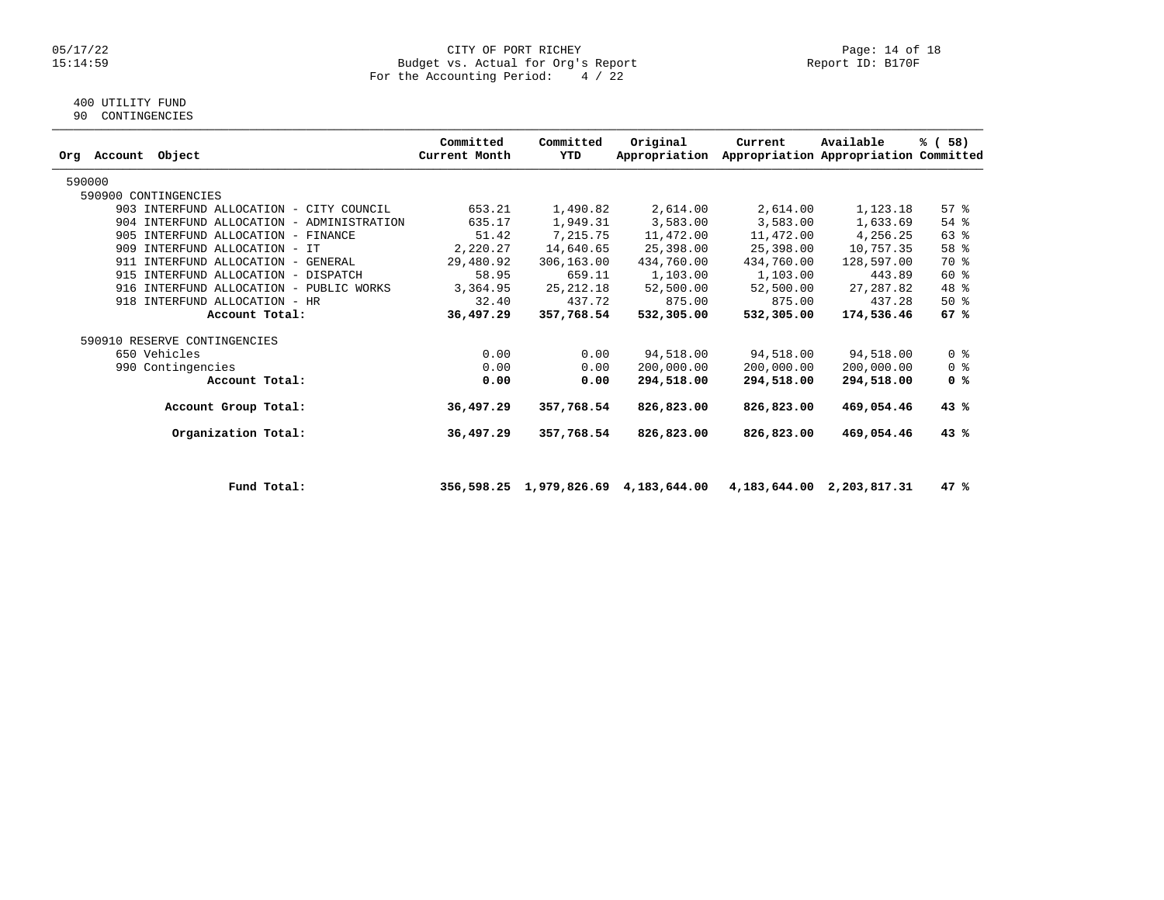#### 05/17/22 CITY OF PORT RICHEY Page: 14 of 18 15:14:59 Budget vs. Actual for Org's Report Report ID: B170F For the Accounting Period: 4 / 22

# 400 UTILITY FUND

90 CONTINGENCIES

| Orq | Account | Object                                  |                                           | Committed<br>Current Month | Committed<br>YTD | Original<br>Appropriation | Current    | Available<br>Appropriation Appropriation Committed | % (58)             |
|-----|---------|-----------------------------------------|-------------------------------------------|----------------------------|------------------|---------------------------|------------|----------------------------------------------------|--------------------|
|     | 590000  |                                         |                                           |                            |                  |                           |            |                                                    |                    |
|     |         | 590900 CONTINGENCIES                    |                                           |                            |                  |                           |            |                                                    |                    |
|     |         | 903 INTERFUND ALLOCATION - CITY COUNCIL |                                           | 653.21                     | 1,490.82         | 2,614.00                  | 2,614.00   | 1,123.18                                           | $57$ $\frac{6}{3}$ |
|     |         |                                         | 904 INTERFUND ALLOCATION - ADMINISTRATION | 635.17                     | 1,949.31         | 3,583.00                  | 3,583.00   | 1,633.69                                           | $54$ %             |
|     |         | 905 INTERFUND ALLOCATION - FINANCE      |                                           | 51.42                      | 7,215.75         | 11,472.00                 | 11,472.00  | 4,256.25                                           | 63 %               |
|     | 909     | INTERFUND ALLOCATION - IT               |                                           | 2,220.27                   | 14,640.65        | 25,398.00                 | 25,398.00  | 10,757.35                                          | 58 %               |
|     |         | 911 INTERFUND ALLOCATION -              | GENERAL                                   | 29,480.92                  | 306,163.00       | 434,760.00                | 434,760.00 | 128,597.00                                         | 70 %               |
|     |         | 915 INTERFUND ALLOCATION - DISPATCH     |                                           | 58.95                      | 659.11           | 1,103.00                  | 1,103.00   | 443.89                                             | $60*$              |
|     | 916     | INTERFUND ALLOCATION - PUBLIC WORKS     |                                           | 3,364.95                   | 25, 212.18       | 52,500.00                 | 52,500.00  | 27, 287.82                                         | 48 %               |
|     |         | 918 INTERFUND ALLOCATION - HR           |                                           | 32.40                      | 437.72           | 875.00                    | 875.00     | 437.28                                             | $50*$              |
|     |         | Account Total:                          |                                           | 36,497.29                  | 357,768.54       | 532,305.00                | 532,305.00 | 174,536.46                                         | 67%                |
|     |         | 590910 RESERVE CONTINGENCIES            |                                           |                            |                  |                           |            |                                                    |                    |
|     |         | 650 Vehicles                            |                                           | 0.00                       | 0.00             | 94,518.00                 | 94,518.00  | 94,518.00                                          | 0 <sup>8</sup>     |
|     | 990     | Contingencies                           |                                           | 0.00                       | 0.00             | 200,000.00                | 200,000.00 | 200,000.00                                         | 0 <sup>8</sup>     |
|     |         | Account Total:                          |                                           | 0.00                       | 0.00             | 294,518.00                | 294,518.00 | 294,518.00                                         | 0 %                |
|     |         | Account Group Total:                    |                                           | 36,497.29                  | 357,768.54       | 826,823.00                | 826,823.00 | 469,054.46                                         | 43%                |
|     |         | Organization Total:                     |                                           | 36,497.29                  | 357,768.54       | 826,823.00                | 826,823.00 | 469,054.46                                         | 43%                |
|     |         |                                         |                                           |                            |                  |                           |            |                                                    |                    |

 **Fund Total: 356,598.25 1,979,826.69 4,183,644.00 4,183,644.00 2,203,817.31 47 %**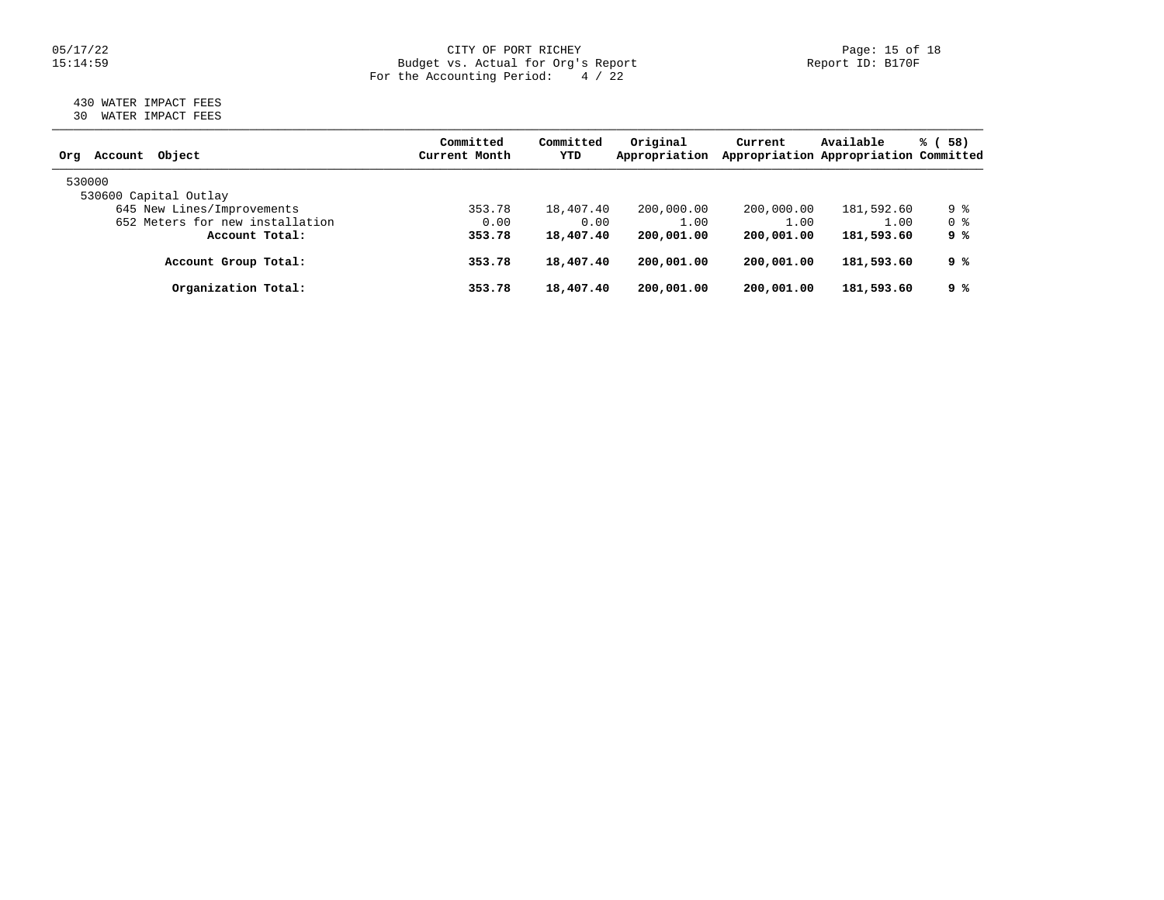### 05/17/22 Page: 15 of 18 15:14:59 Budget vs. Actual for Org's Report Report ID: B170F For the Accounting Period: 4 / 22

# 430 WATER IMPACT FEES 30 WATER IMPACT FEES

| Object<br>Account<br>Org        | Committed<br>Current Month | Committed<br>YTD | Original<br>Appropriation | Current    | Available<br>Appropriation Appropriation Committed | % (58) |
|---------------------------------|----------------------------|------------------|---------------------------|------------|----------------------------------------------------|--------|
| 530000                          |                            |                  |                           |            |                                                    |        |
| 530600 Capital Outlay           |                            |                  |                           |            |                                                    |        |
| 645 New Lines/Improvements      | 353.78                     | 18,407.40        | 200,000.00                | 200,000.00 | 181,592.60                                         | 9 %    |
| 652 Meters for new installation | 0.00                       | 0.00             | 1.00                      | 1.00       | 1.00                                               | 0 %    |
| Account Total:                  | 353.78                     | 18,407.40        | 200,001.00                | 200,001.00 | 181,593.60                                         | 9 %    |
| Account Group Total:            | 353.78                     | 18,407.40        | 200,001.00                | 200,001.00 | 181,593.60                                         | ୨ %    |
| Organization Total:             | 353.78                     | 18,407.40        | 200,001.00                | 200,001.00 | 181,593.60                                         | ୨ %    |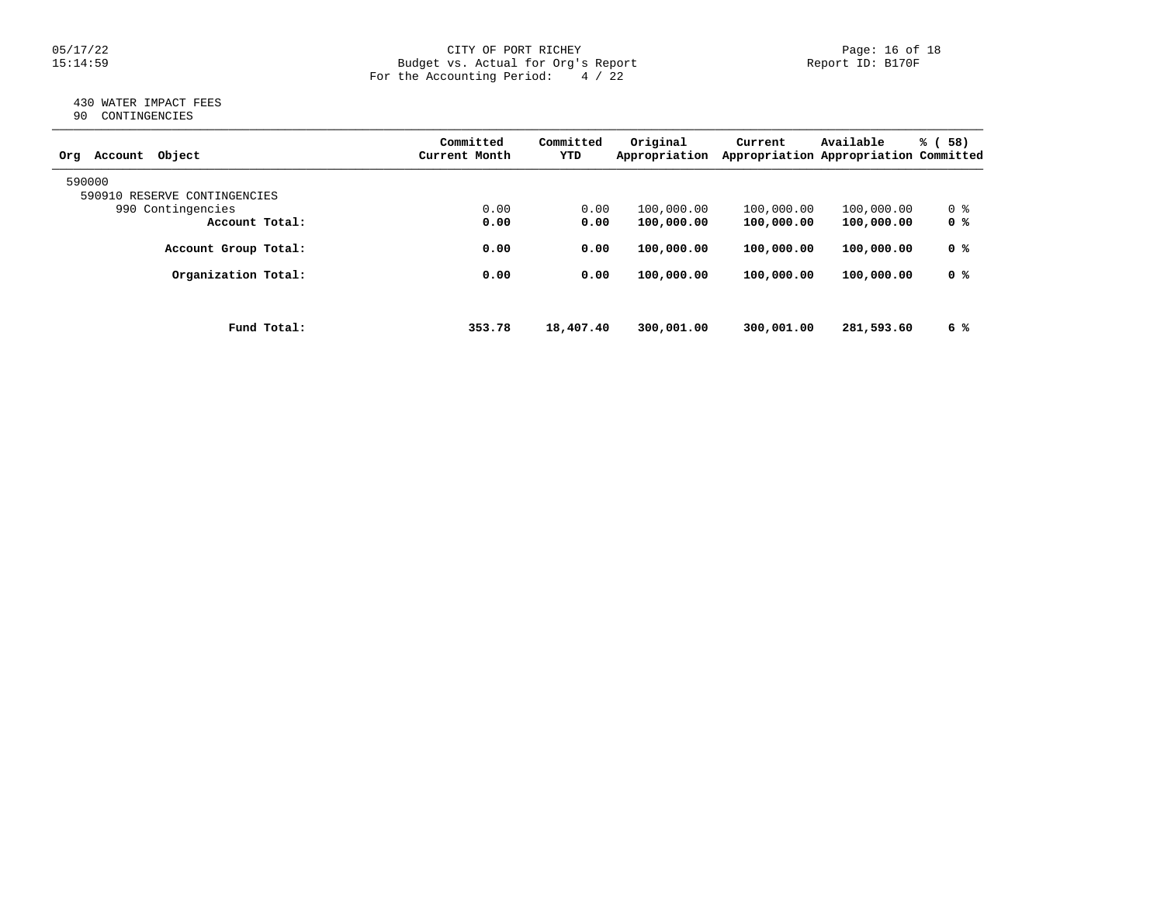#### 05/17/22 CITY OF PORT RICHEY Page: 16 of 18 15:14:59 Budget vs. Actual for Org's Report Report ID: B170F For the Accounting Period: 4 / 22

# 430 WATER IMPACT FEES 90 CONTINGENCIES

| Object<br>Account<br>Org     | Committed<br>Current Month | Committed<br>YTD | Original<br>Appropriation | Current    | Available<br>Appropriation Appropriation Committed | % (<br>58) |
|------------------------------|----------------------------|------------------|---------------------------|------------|----------------------------------------------------|------------|
| 590000                       |                            |                  |                           |            |                                                    |            |
| 590910 RESERVE CONTINGENCIES |                            |                  |                           |            |                                                    |            |
| 990 Contingencies            | 0.00                       | 0.00             | 100,000.00                | 100,000.00 | 100,000.00                                         | 0 %        |
| Account Total:               | 0.00                       | 0.00             | 100,000.00                | 100,000.00 | 100,000.00                                         | 0 %        |
| Account Group Total:         | 0.00                       | 0.00             | 100,000.00                | 100,000.00 | 100,000.00                                         | 0 %        |
| Organization Total:          | 0.00                       | 0.00             | 100,000.00                | 100,000.00 | 100,000.00                                         | 0 %        |
|                              |                            |                  |                           |            |                                                    |            |
| Fund Total:                  | 353.78                     | 18,407.40        | 300,001.00                | 300,001.00 | 281,593.60                                         | 6 %        |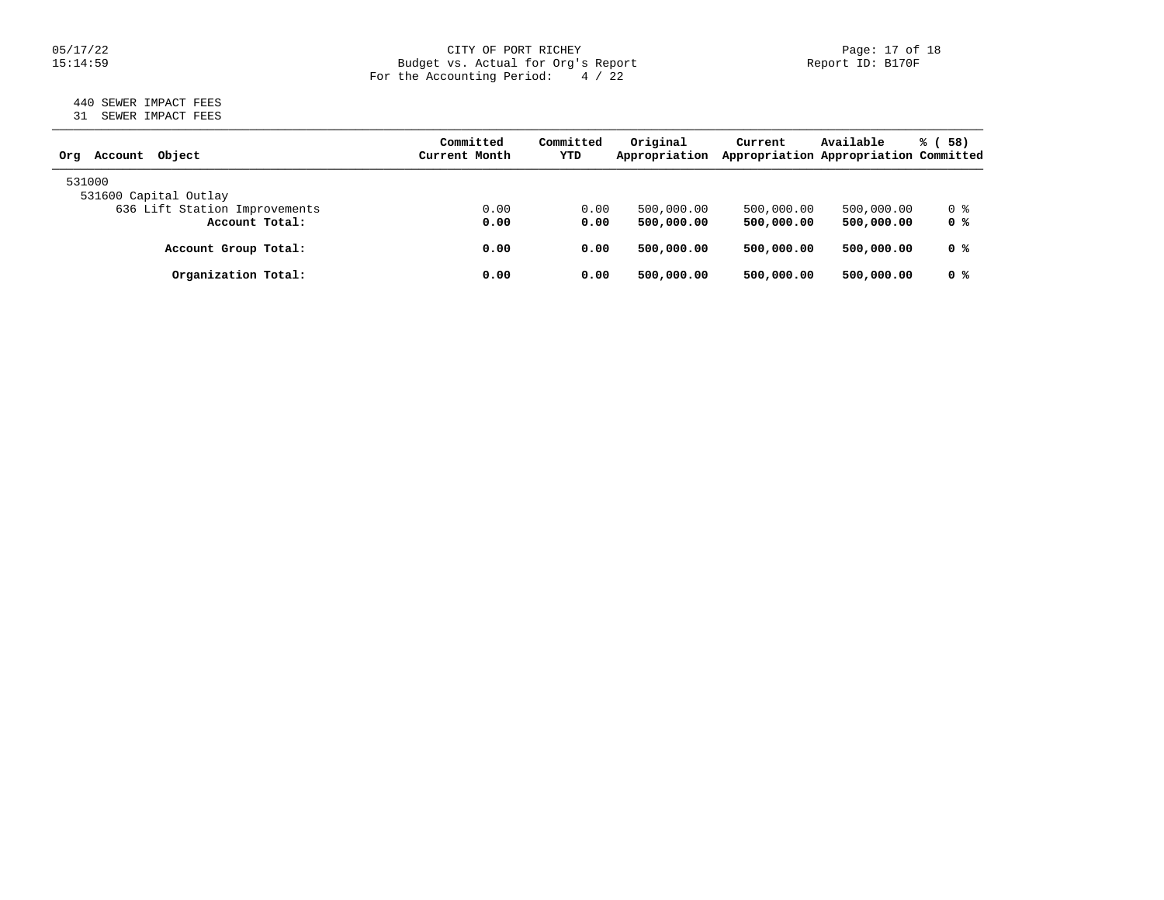### 05/17/22 CITY OF PORT RICHEY Page: 17 of 18 15:14:59 Budget vs. Actual for Org's Report Report ID: B170F For the Accounting Period: 4 / 22

# 440 SEWER IMPACT FEES 31 SEWER IMPACT FEES

| Obiect<br>Account<br>Orq      | Committed<br>Current Month | Committed<br>YTD | Original<br>Appropriation | Current    | Available<br>Appropriation Appropriation Committed | % (58)         |
|-------------------------------|----------------------------|------------------|---------------------------|------------|----------------------------------------------------|----------------|
| 531000                        |                            |                  |                           |            |                                                    |                |
| 531600 Capital Outlay         |                            |                  |                           |            |                                                    |                |
| 636 Lift Station Improvements | 0.00                       | 0.00             | 500,000.00                | 500,000.00 | 500,000.00                                         | 0 %            |
| Account Total:                | 0.00                       | 0.00             | 500,000.00                | 500,000.00 | 500,000.00                                         | 0 <sup>8</sup> |
| Account Group Total:          | 0.00                       | 0.00             | 500,000.00                | 500,000,00 | 500,000.00                                         | 0 <sup>8</sup> |
| Organization Total:           | 0.00                       | 0.00             | 500,000.00                | 500,000.00 | 500,000.00                                         | 0 %            |